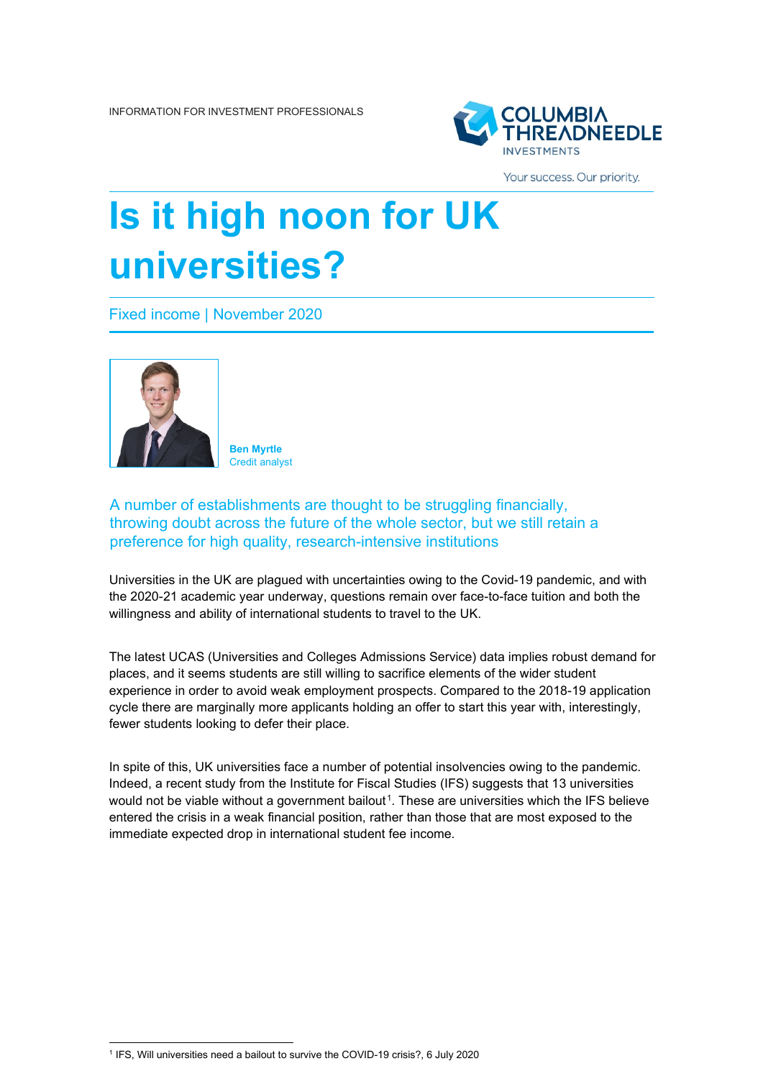

Your success. Our priority.

## **Is it high noon for UK universities?**

Fixed income | November 2020



**Ben Myrtle** Credit analyst

A number of establishments are thought to be struggling financially, throwing doubt across the future of the whole sector, but we still retain a preference for high quality, research-intensive institutions

Universities in the UK are plagued with uncertainties owing to the Covid-19 pandemic, and with the 2020-21 academic year underway, questions remain over face-to-face tuition and both the willingness and ability of international students to travel to the UK.

The latest UCAS (Universities and Colleges Admissions Service) data implies robust demand for places, and it seems students are still willing to sacrifice elements of the wider student experience in order to avoid weak employment prospects. Compared to the 2018-19 application cycle there are marginally more applicants holding an offer to start this year with, interestingly, fewer students looking to defer their place.

In spite of this, UK universities face a number of potential insolvencies owing to the pandemic. Indeed, a recent study from the Institute for Fiscal Studies (IFS) suggests that 13 universities would not be viable without a government bailout<sup>1</sup>. These are universities which the IFS believe entered the crisis in a weak financial position, rather than those that are most exposed to the immediate expected drop in international student fee income.

<span id="page-0-0"></span><sup>1</sup> IFS, Will universities need a bailout to survive the COVID-19 crisis?, 6 July 2020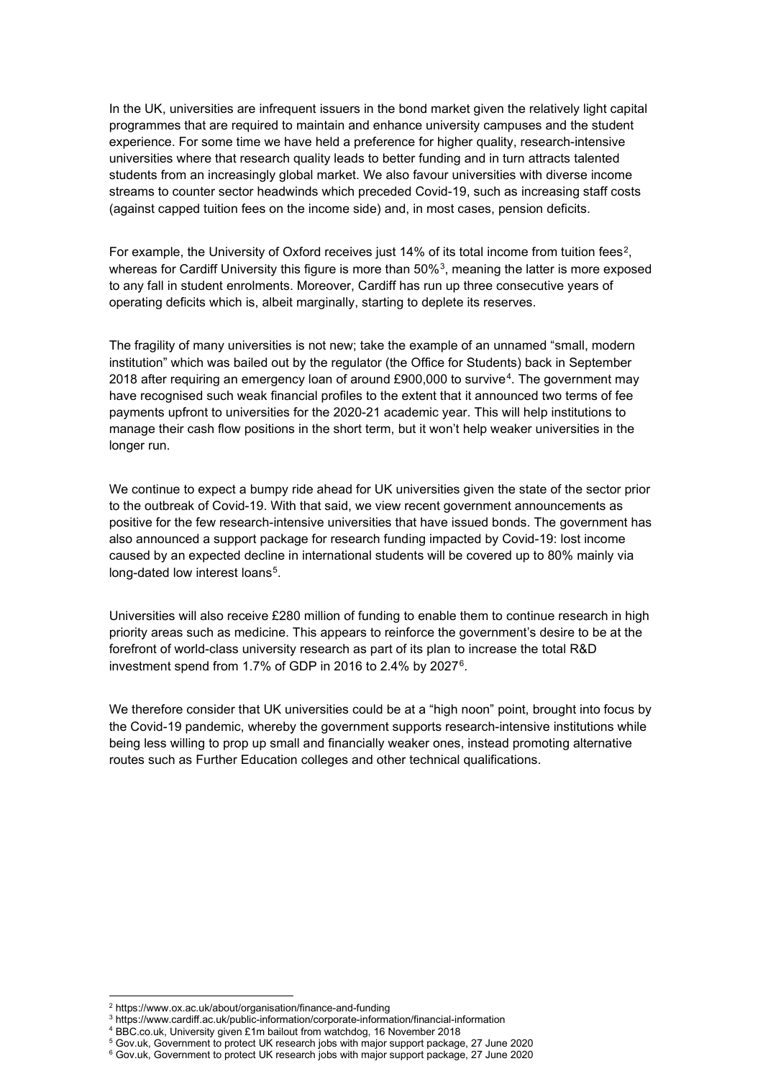In the UK, universities are infrequent issuers in the bond market given the relatively light capital programmes that are required to maintain and enhance university campuses and the student experience. For some time we have held a preference for higher quality, research-intensive universities where that research quality leads to better funding and in turn attracts talented students from an increasingly global market. We also favour universities with diverse income streams to counter sector headwinds which preceded Covid-19, such as increasing staff costs (against capped tuition fees on the income side) and, in most cases, pension deficits.

For example, the University of Oxford receives just 14% of its total income from tuition fees<sup>2</sup>, whereas for Cardiff University this figure is more than 50%[3](#page-1-1), meaning the latter is more exposed to any fall in student enrolments. Moreover, Cardiff has run up three consecutive years of operating deficits which is, albeit marginally, starting to deplete its reserves.

The fragility of many universities is not new; take the example of an unnamed "small, modern institution" which was bailed out by the regulator (the Office for Students) back in September 2018 after requiring an emergency loan of around £900,000 to survive[4](#page-1-2). The government may have recognised such weak financial profiles to the extent that it announced two terms of fee payments upfront to universities for the 2020-21 academic year. This will help institutions to manage their cash flow positions in the short term, but it won't help weaker universities in the longer run.

We continue to expect a bumpy ride ahead for UK universities given the state of the sector prior to the outbreak of Covid-19. With that said, we view recent government announcements as positive for the few research-intensive universities that have issued bonds. The government has also announced a support package for research funding impacted by Covid-19: lost income caused by an expected decline in international students will be covered up to 80% mainly via long-dated low interest loans<sup>5</sup>.

Universities will also receive £280 million of funding to enable them to continue research in high priority areas such as medicine. This appears to reinforce the government's desire to be at the forefront of world-class university research as part of its plan to increase the total R&D investment spend from 1.7% of GDP in 2016 to 2.4% by 2027[6](#page-1-4).

We therefore consider that UK universities could be at a "high noon" point, brought into focus by the Covid-19 pandemic, whereby the government supports research-intensive institutions while being less willing to prop up small and financially weaker ones, instead promoting alternative routes such as Further Education colleges and other technical qualifications.

<span id="page-1-0"></span><sup>2</sup> https://www.ox.ac.uk/about/organisation/finance-and-funding

<span id="page-1-1"></span><sup>3</sup> https://www.cardiff.ac.uk/public-information/corporate-information/financial-information

<span id="page-1-2"></span><sup>4</sup> BBC.co.uk, University given £1m bailout from watchdog, 16 November 2018

<span id="page-1-3"></span><sup>5</sup> Gov.uk, Government to protect UK research jobs with major support package, 27 June 2020

<span id="page-1-4"></span><sup>&</sup>lt;sup>6</sup> Gov.uk, Government to protect UK research jobs with major support package, 27 June 2020